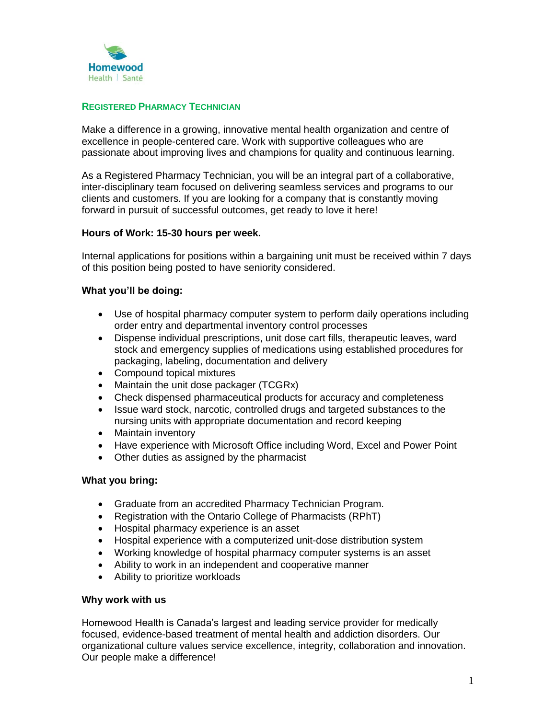

# **REGISTERED PHARMACY TECHNICIAN**

Make a difference in a growing, innovative mental health organization and centre of excellence in people-centered care. Work with supportive colleagues who are passionate about improving lives and champions for quality and continuous learning.

As a Registered Pharmacy Technician, you will be an integral part of a collaborative, inter-disciplinary team focused on delivering seamless services and programs to our clients and customers. If you are looking for a company that is constantly moving forward in pursuit of successful outcomes, get ready to love it here!

# **Hours of Work: 15-30 hours per week.**

Internal applications for positions within a bargaining unit must be received within 7 days of this position being posted to have seniority considered.

# **What you'll be doing:**

- Use of hospital pharmacy computer system to perform daily operations including order entry and departmental inventory control processes
- Dispense individual prescriptions, unit dose cart fills, therapeutic leaves, ward stock and emergency supplies of medications using established procedures for packaging, labeling, documentation and delivery
- Compound topical mixtures
- Maintain the unit dose packager (TCGRx)
- Check dispensed pharmaceutical products for accuracy and completeness
- Issue ward stock, narcotic, controlled drugs and targeted substances to the nursing units with appropriate documentation and record keeping
- Maintain inventory
- Have experience with Microsoft Office including Word, Excel and Power Point
- Other duties as assigned by the pharmacist

## **What you bring:**

- Graduate from an accredited Pharmacy Technician Program.
- Registration with the Ontario College of Pharmacists (RPhT)
- Hospital pharmacy experience is an asset
- Hospital experience with a computerized unit-dose distribution system
- Working knowledge of hospital pharmacy computer systems is an asset
- Ability to work in an independent and cooperative manner
- Ability to prioritize workloads

## **Why work with us**

Homewood Health is Canada's largest and leading service provider for medically focused, evidence-based treatment of mental health and addiction disorders. Our organizational culture values service excellence, integrity, collaboration and innovation. Our people make a difference!